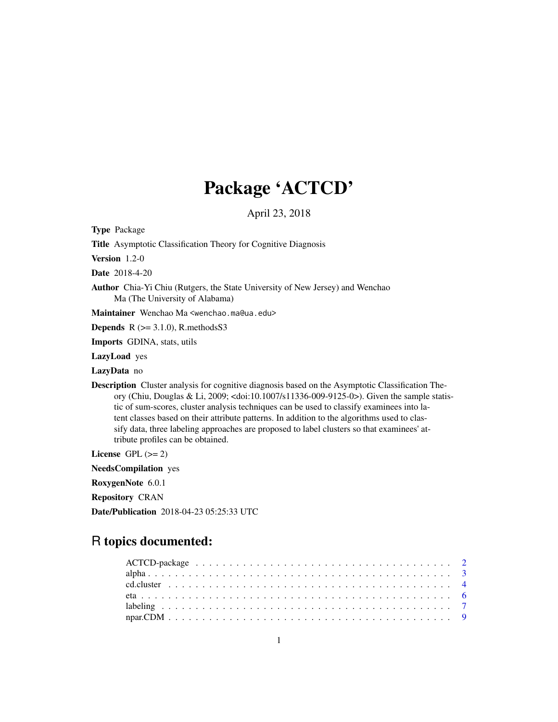## Package 'ACTCD'

April 23, 2018

Type Package

Title Asymptotic Classification Theory for Cognitive Diagnosis

Version 1.2-0

Date 2018-4-20

Author Chia-Yi Chiu (Rutgers, the State University of New Jersey) and Wenchao Ma (The University of Alabama)

Maintainer Wenchao Ma <wenchao.ma@ua.edu>

**Depends**  $R$  ( $>= 3.1.0$ ), R.methodsS3

Imports GDINA, stats, utils

LazyLoad yes

LazyData no

Description Cluster analysis for cognitive diagnosis based on the Asymptotic Classification Theory (Chiu, Douglas & Li, 2009; <doi:10.1007/s11336-009-9125-0>). Given the sample statistic of sum-scores, cluster analysis techniques can be used to classify examinees into latent classes based on their attribute patterns. In addition to the algorithms used to classify data, three labeling approaches are proposed to label clusters so that examinees' attribute profiles can be obtained.

License GPL  $(>= 2)$ 

NeedsCompilation yes

RoxygenNote 6.0.1

Repository CRAN

Date/Publication 2018-04-23 05:25:33 UTC

## R topics documented: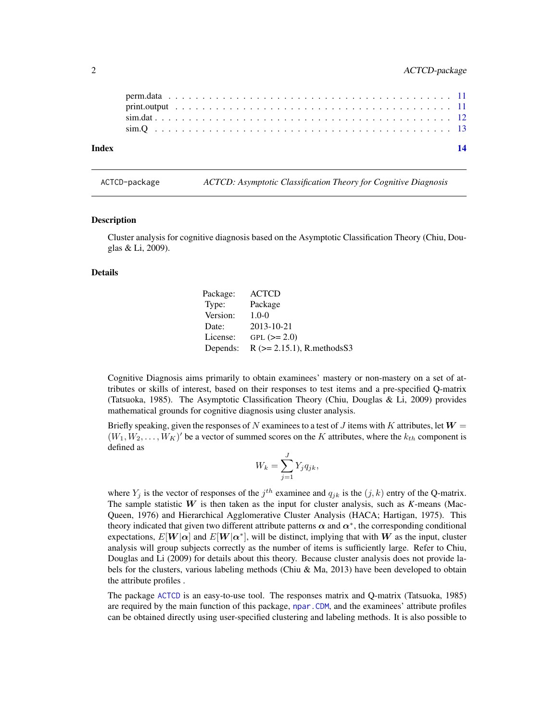<span id="page-1-0"></span>

| Index |  |  |  |  |  |  |  |  |  |  |  |  |  |  |  |  |  |  |  |  |  |
|-------|--|--|--|--|--|--|--|--|--|--|--|--|--|--|--|--|--|--|--|--|--|
|       |  |  |  |  |  |  |  |  |  |  |  |  |  |  |  |  |  |  |  |  |  |
|       |  |  |  |  |  |  |  |  |  |  |  |  |  |  |  |  |  |  |  |  |  |
|       |  |  |  |  |  |  |  |  |  |  |  |  |  |  |  |  |  |  |  |  |  |
|       |  |  |  |  |  |  |  |  |  |  |  |  |  |  |  |  |  |  |  |  |  |
|       |  |  |  |  |  |  |  |  |  |  |  |  |  |  |  |  |  |  |  |  |  |

ACTCD-package *ACTCD: Asymptotic Classification Theory for Cognitive Diagnosis*

#### <span id="page-1-1"></span>Description

Cluster analysis for cognitive diagnosis based on the Asymptotic Classification Theory (Chiu, Douglas & Li, 2009).

#### Details

| Package: | <b>ACTCD</b>                     |
|----------|----------------------------------|
| Type:    | Package                          |
| Version: | $1.0 - 0$                        |
| Date:    | 2013-10-21                       |
| License: | GPL $(>= 2.0)$                   |
| Depends: | $R$ ( $>= 2.15.1$ ), R.methodsS3 |

Cognitive Diagnosis aims primarily to obtain examinees' mastery or non-mastery on a set of attributes or skills of interest, based on their responses to test items and a pre-specified Q-matrix (Tatsuoka, 1985). The Asymptotic Classification Theory (Chiu, Douglas & Li, 2009) provides mathematical grounds for cognitive diagnosis using cluster analysis.

Briefly speaking, given the responses of N examinees to a test of J items with K attributes, let  $W =$  $(W_1, W_2, \ldots, W_K)'$  be a vector of summed scores on the K attributes, where the  $k_{th}$  component is defined as

$$
W_k = \sum_{j=1}^J Y_j q_{jk},
$$

where  $Y_j$  is the vector of responses of the  $j<sup>th</sup>$  examinee and  $q_{jk}$  is the  $(j, k)$  entry of the Q-matrix. The sample statistic W is then taken as the input for cluster analysis, such as *K*-means (Mac-Queen, 1976) and Hierarchical Agglomerative Cluster Analysis (HACA; Hartigan, 1975). This theory indicated that given two different attribute patterns  $\alpha$  and  $\alpha^*$ , the corresponding conditional expectations,  $E[W|\alpha]$  and  $E[W|\alpha^*]$ , will be distinct, implying that with W as the input, cluster analysis will group subjects correctly as the number of items is sufficiently large. Refer to Chiu, Douglas and Li (2009) for details about this theory. Because cluster analysis does not provide labels for the clusters, various labeling methods (Chiu & Ma, 2013) have been developed to obtain the attribute profiles .

The package [ACTCD](#page-1-1) is an easy-to-use tool. The responses matrix and Q-matrix (Tatsuoka, 1985) are required by the main function of this package, [npar.CDM](#page-8-1), and the examinees' attribute profiles can be obtained directly using user-specified clustering and labeling methods. It is also possible to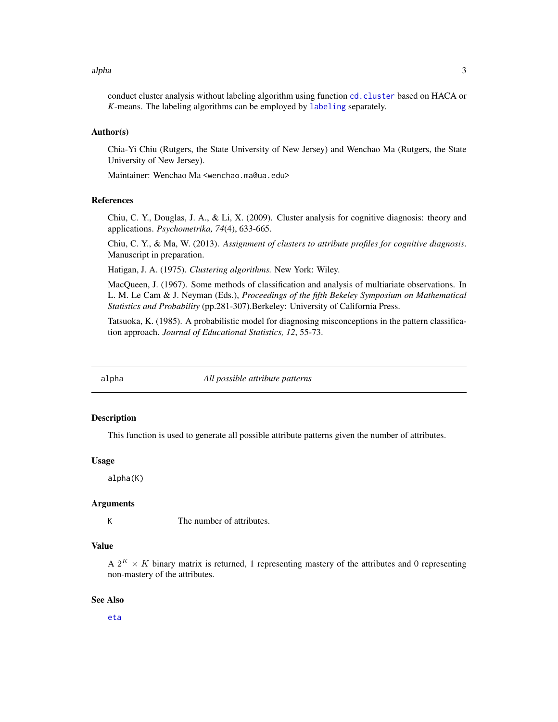#### <span id="page-2-0"></span>alpha 3

conduct cluster analysis without labeling algorithm using function [cd.cluster](#page-3-1) based on HACA or *K*-means. The labeling algorithms can be employed by [labeling](#page-6-1) separately.

#### Author(s)

Chia-Yi Chiu (Rutgers, the State University of New Jersey) and Wenchao Ma (Rutgers, the State University of New Jersey).

Maintainer: Wenchao Ma <wenchao.ma@ua.edu>

## References

Chiu, C. Y., Douglas, J. A., & Li, X. (2009). Cluster analysis for cognitive diagnosis: theory and applications. *Psychometrika, 74*(4), 633-665.

Chiu, C. Y., & Ma, W. (2013). *Assignment of clusters to attribute profiles for cognitive diagnosis*. Manuscript in preparation.

Hatigan, J. A. (1975). *Clustering algorithms.* New York: Wiley.

MacQueen, J. (1967). Some methods of classification and analysis of multiariate observations. In L. M. Le Cam & J. Neyman (Eds.), *Proceedings of the fifth Bekeley Symposium on Mathematical Statistics and Probability* (pp.281-307).Berkeley: University of California Press.

Tatsuoka, K. (1985). A probabilistic model for diagnosing misconceptions in the pattern classification approach. *Journal of Educational Statistics, 12*, 55-73.

<span id="page-2-1"></span>

alpha *All possible attribute patterns*

#### **Description**

This function is used to generate all possible attribute patterns given the number of attributes.

#### Usage

alpha(K)

## Arguments

K The number of attributes.

## Value

A  $2^K \times K$  binary matrix is returned, 1 representing mastery of the attributes and 0 representing non-mastery of the attributes.

#### See Also

[eta](#page-5-1)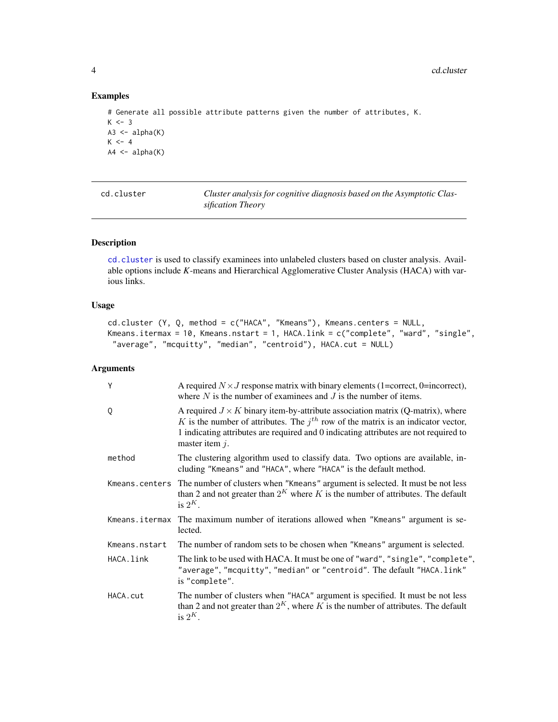4 cd.cluster control of the control of the control of the control of the control of the control of the control of the control of the control of the control of the control of the control of the control of the control of the

## Examples

```
# Generate all possible attribute patterns given the number of attributes, K.
K < -3A3 \leftarrow \text{alpha}(K)K < -4A4 \leftarrow \text{alpha}(K)
```
<span id="page-3-1"></span>

| cd.cluster | Cluster analysis for cognitive diagnosis based on the Asymptotic Clas- |
|------------|------------------------------------------------------------------------|
|            | sification Theory                                                      |

## Description

[cd.cluster](#page-3-1) is used to classify examinees into unlabeled clusters based on cluster analysis. Available options include *K*-means and Hierarchical Agglomerative Cluster Analysis (HACA) with various links.

## Usage

```
cd.cluster (Y, Q, method = c("HACA", "Kmeans"), Kmeans.centers = NULL,
Kmeans.itermax = 10, Kmeans.nstart = 1, HACA.link = c("complete", "ward", "single",
"average", "mcquitty", "median", "centroid"), HACA.cut = NULL)
```
#### Arguments

| Y              | A required $N \times J$ response matrix with binary elements (1=correct, 0=incorrect),<br>where $N$ is the number of examinees and $J$ is the number of items.                                                                                                                           |
|----------------|------------------------------------------------------------------------------------------------------------------------------------------------------------------------------------------------------------------------------------------------------------------------------------------|
| 0              | A required $J \times K$ binary item-by-attribute association matrix (Q-matrix), where<br>K is the number of attributes. The $jth$ row of the matrix is an indicator vector,<br>1 indicating attributes are required and 0 indicating attributes are not required to<br>master item $j$ . |
| method         | The clustering algorithm used to classify data. Two options are available, in-<br>cluding "Kmeans" and "HACA", where "HACA" is the default method.                                                                                                                                       |
| Kmeans.centers | The number of clusters when "Kmeans" argument is selected. It must be not less<br>than 2 and not greater than $2^{K}$ where K is the number of attributes. The default<br>is $2^K$ .                                                                                                     |
|                | Kmeans.itermax The maximum number of iterations allowed when "Kmeans" argument is se-<br>lected.                                                                                                                                                                                         |
| Kmeans.nstart  | The number of random sets to be chosen when "Kmeans" argument is selected.                                                                                                                                                                                                               |
| HACA.link      | The link to be used with HACA. It must be one of "ward", "single", "complete",<br>"average", "mcquitty", "median" or "centroid". The default "HACA. link"<br>is "complete".                                                                                                              |
| HACA.cut       | The number of clusters when "HACA" argument is specified. It must be not less<br>than 2 and not greater than $2^K$ , where K is the number of attributes. The default<br>is $2^K$ .                                                                                                      |

<span id="page-3-0"></span>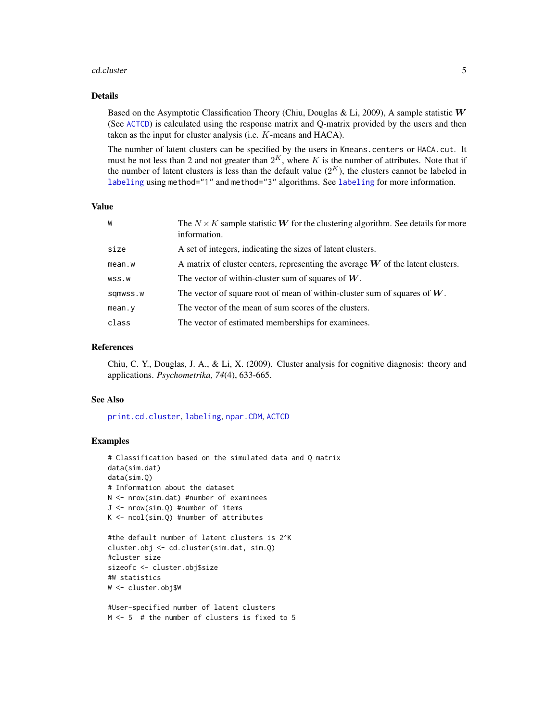#### <span id="page-4-0"></span>cd.cluster 5

### Details

Based on the Asymptotic Classification Theory (Chiu, Douglas & Li, 2009), A sample statistic  $W$ (See [ACTCD](#page-1-1)) is calculated using the response matrix and Q-matrix provided by the users and then taken as the input for cluster analysis (i.e. K-means and HACA).

The number of latent clusters can be specified by the users in Kmeans.centers or HACA.cut. It must be not less than 2 and not greater than  $2<sup>K</sup>$ , where K is the number of attributes. Note that if the number of latent clusters is less than the default value  $(2<sup>K</sup>)$ , the clusters cannot be labeled in [labeling](#page-6-1) using method="1" and method="3" algorithms. See labeling for more information.

#### Value

| W        | The $N \times K$ sample statistic W for the clustering algorithm. See details for more<br>information. |
|----------|--------------------------------------------------------------------------------------------------------|
| size     | A set of integers, indicating the sizes of latent clusters.                                            |
| mean.w   | A matrix of cluster centers, representing the average $W$ of the latent clusters.                      |
| WSS.W    | The vector of within-cluster sum of squares of $W$ .                                                   |
| SQMWSS.W | The vector of square root of mean of within-cluster sum of squares of $W$ .                            |
| mean.y   | The vector of the mean of sum scores of the clusters.                                                  |
| class    | The vector of estimated memberships for examinees.                                                     |

## References

Chiu, C. Y., Douglas, J. A., & Li, X. (2009). Cluster analysis for cognitive diagnosis: theory and applications. *Psychometrika, 74*(4), 633-665.

#### See Also

[print.cd.cluster](#page-10-1), [labeling](#page-6-1), [npar.CDM](#page-8-1), [ACTCD](#page-1-1)

## Examples

```
# Classification based on the simulated data and Q matrix
data(sim.dat)
data(sim.Q)
# Information about the dataset
N <- nrow(sim.dat) #number of examinees
J <- nrow(sim.Q) #number of items
K <- ncol(sim.Q) #number of attributes
```

```
#the default number of latent clusters is 2^K
cluster.obj <- cd.cluster(sim.dat, sim.Q)
#cluster size
sizeofc <- cluster.obj$size
#W statistics
W <- cluster.obj$W
```

```
#User-specified number of latent clusters
M <- 5 # the number of clusters is fixed to 5
```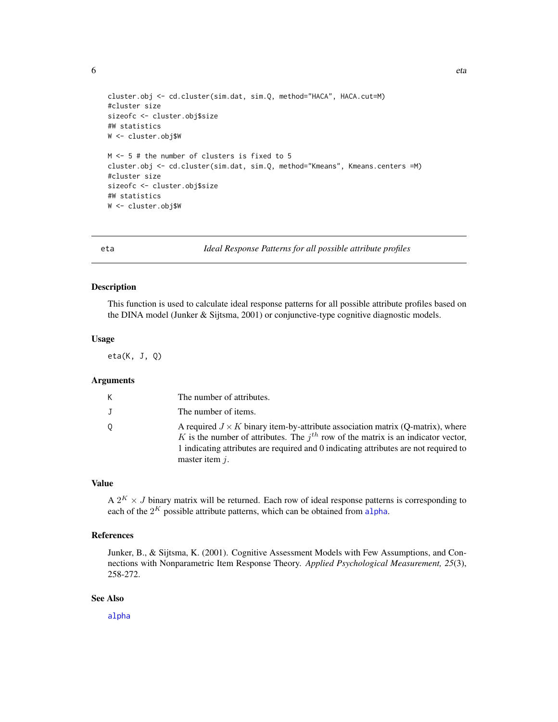```
\epsilon 6 eta
```

```
cluster.obj <- cd.cluster(sim.dat, sim.Q, method="HACA", HACA.cut=M)
#cluster size
sizeofc <- cluster.obj$size
#W statistics
W <- cluster.obj$W
M <- 5 # the number of clusters is fixed to 5
cluster.obj <- cd.cluster(sim.dat, sim.Q, method="Kmeans", Kmeans.centers =M)
#cluster size
sizeofc <- cluster.obj$size
#W statistics
W <- cluster.obj$W
```
<span id="page-5-1"></span>eta *Ideal Response Patterns for all possible attribute profiles*

#### Description

This function is used to calculate ideal response patterns for all possible attribute profiles based on the DINA model (Junker & Sijtsma, 2001) or conjunctive-type cognitive diagnostic models.

#### Usage

eta(K, J, Q)

## Arguments

| K | The number of attributes.                                                                                                                                                                                                                                                                |
|---|------------------------------------------------------------------------------------------------------------------------------------------------------------------------------------------------------------------------------------------------------------------------------------------|
| J | The number of items.                                                                                                                                                                                                                                                                     |
| 0 | A required $J \times K$ binary item-by-attribute association matrix (O-matrix), where<br>K is the number of attributes. The $jth$ row of the matrix is an indicator vector,<br>1 indicating attributes are required and 0 indicating attributes are not required to<br>master item $i$ . |

#### Value

A  $2^K \times J$  binary matrix will be returned. Each row of ideal response patterns is corresponding to each of the  $2<sup>K</sup>$  possible attribute patterns, which can be obtained from [alpha](#page-2-1).

## References

Junker, B., & Sijtsma, K. (2001). Cognitive Assessment Models with Few Assumptions, and Connections with Nonparametric Item Response Theory. *Applied Psychological Measurement, 25*(3), 258-272.

## See Also

[alpha](#page-2-1)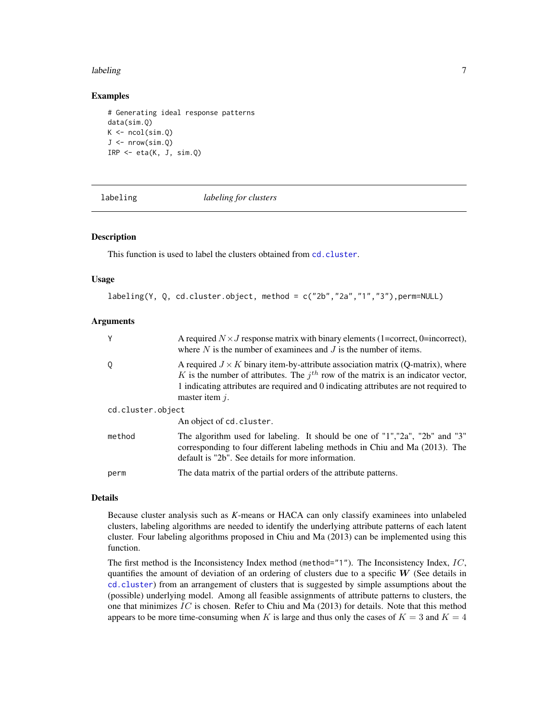#### <span id="page-6-0"></span>labeling 7

#### Examples

```
# Generating ideal response patterns
data(sim.Q)
K \leftarrow \text{ncol}(\text{sim}.Q)J \leftarrow \text{nrow}(\text{sim}.Q)IRP \leq eta(K, J, sim.Q)
```
<span id="page-6-1"></span>

|  |  | labeling |
|--|--|----------|
|  |  |          |

labeling *labeling for clusters*

## Description

This function is used to label the clusters obtained from [cd.cluster](#page-3-1).

#### Usage

labeling(Y, Q, cd.cluster.object, method = c("2b","2a","1","3"),perm=NULL)

## Arguments

| Υ                 | A required $N \times J$ response matrix with binary elements (1=correct, 0=incorrect),<br>where $N$ is the number of examinees and $J$ is the number of items.                                                                                                                           |
|-------------------|------------------------------------------------------------------------------------------------------------------------------------------------------------------------------------------------------------------------------------------------------------------------------------------|
| 0                 | A required $J \times K$ binary item-by-attribute association matrix (Q-matrix), where<br>K is the number of attributes. The $jth$ row of the matrix is an indicator vector,<br>1 indicating attributes are required and 0 indicating attributes are not required to<br>master item $j$ . |
| cd.cluster.object |                                                                                                                                                                                                                                                                                          |
|                   | An object of cd. cluster.                                                                                                                                                                                                                                                                |
| method            | The algorithm used for labeling. It should be one of "1","2a", "2b" and "3"<br>corresponding to four different labeling methods in Chiu and Ma (2013). The<br>default is "2b". See details for more information.                                                                         |
| perm              | The data matrix of the partial orders of the attribute patterns.                                                                                                                                                                                                                         |
|                   |                                                                                                                                                                                                                                                                                          |

#### Details

Because cluster analysis such as *K*-means or HACA can only classify examinees into unlabeled clusters, labeling algorithms are needed to identify the underlying attribute patterns of each latent cluster. Four labeling algorithms proposed in Chiu and Ma (2013) can be implemented using this function.

The first method is the Inconsistency Index method (method="1"). The Inconsistency Index,  $IC$ , quantifies the amount of deviation of an ordering of clusters due to a specific  $W$  (See details in [cd.cluster](#page-3-1)) from an arrangement of clusters that is suggested by simple assumptions about the (possible) underlying model. Among all feasible assignments of attribute patterns to clusters, the one that minimizes  $IC$  is chosen. Refer to Chiu and Ma (2013) for details. Note that this method appears to be more time-consuming when K is large and thus only the cases of  $K = 3$  and  $K = 4$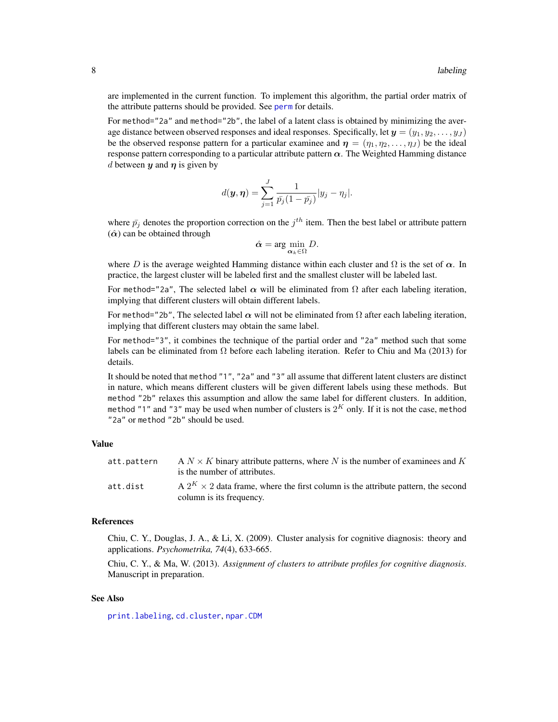<span id="page-7-0"></span>are implemented in the current function. To implement this algorithm, the partial order matrix of the attribute patterns should be provided. See [perm](#page-10-2) for details.

For method="2a" and method="2b", the label of a latent class is obtained by minimizing the average distance between observed responses and ideal responses. Specifically, let  $y = (y_1, y_2, \dots, y_J)$ be the observed response pattern for a particular examinee and  $\eta = (\eta_1, \eta_2, \dots, \eta_J)$  be the ideal response pattern corresponding to a particular attribute pattern  $\alpha$ . The Weighted Hamming distance d between  $y$  and  $\eta$  is given by

$$
d(\boldsymbol{y},\boldsymbol{\eta})=\sum_{j=1}^J \frac{1}{\bar{p_j}(1-\bar{p_j})}|y_j-\eta_j|.
$$

where  $\bar{p}_j$  denotes the proportion correction on the  $j^{th}$  item. Then the best label or attribute pattern  $(\hat{\alpha})$  can be obtained through

$$
\hat{\boldsymbol{\alpha}} = \arg \min_{\boldsymbol{\alpha}_k \in \Omega} D.
$$

where D is the average weighted Hamming distance within each cluster and  $\Omega$  is the set of  $\alpha$ . In practice, the largest cluster will be labeled first and the smallest cluster will be labeled last.

For method="2a", The selected label  $\alpha$  will be eliminated from  $\Omega$  after each labeling iteration, implying that different clusters will obtain different labels.

For method="2b", The selected label  $\alpha$  will not be eliminated from  $\Omega$  after each labeling iteration, implying that different clusters may obtain the same label.

For method="3", it combines the technique of the partial order and "2a" method such that some labels can be eliminated from  $\Omega$  before each labeling iteration. Refer to Chiu and Ma (2013) for details.

It should be noted that method "1", "2a" and "3" all assume that different latent clusters are distinct in nature, which means different clusters will be given different labels using these methods. But method "2b" relaxes this assumption and allow the same label for different clusters. In addition, method "1" and "3" may be used when number of clusters is  $2^K$  only. If it is not the case, method "2a" or method "2b" should be used.

#### Value

| att.pattern | A $N \times K$ binary attribute patterns, where N is the number of examinees and K       |
|-------------|------------------------------------------------------------------------------------------|
|             | is the number of attributes.                                                             |
| att.dist    | A $2^K \times 2$ data frame, where the first column is the attribute pattern, the second |
|             | column is its frequency.                                                                 |

#### References

Chiu, C. Y., Douglas, J. A., & Li, X. (2009). Cluster analysis for cognitive diagnosis: theory and applications. *Psychometrika, 74*(4), 633-665.

Chiu, C. Y., & Ma, W. (2013). *Assignment of clusters to attribute profiles for cognitive diagnosis*. Manuscript in preparation.

#### See Also

[print.labeling](#page-10-1), [cd.cluster](#page-3-1), [npar.CDM](#page-8-1)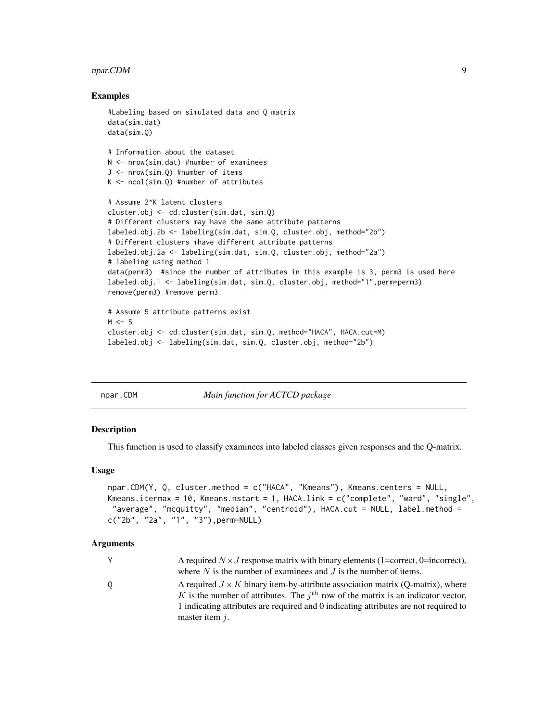#### <span id="page-8-0"></span>npar.CDM 9

#### Examples

```
#Labeling based on simulated data and Q matrix
data(sim.dat)
data(sim.Q)
# Information about the dataset
N <- nrow(sim.dat) #number of examinees
J <- nrow(sim.Q) #number of items
K <- ncol(sim.Q) #number of attributes
# Assume 2^K latent clusters
cluster.obj <- cd.cluster(sim.dat, sim.Q)
# Different clusters may have the same attribute patterns
labeled.obj.2b <- labeling(sim.dat, sim.Q, cluster.obj, method="2b")
# Different clusters mhave different attribute patterns
labeled.obj.2a <- labeling(sim.dat, sim.Q, cluster.obj, method="2a")
# labeling using method 1
data(perm3) #since the number of attributes in this example is 3, perm3 is used here
labeled.obj.1 <- labeling(sim.dat, sim.Q, cluster.obj, method="1",perm=perm3)
remove(perm3) #remove perm3
# Assume 5 attribute patterns exist
M < -5cluster.obj <- cd.cluster(sim.dat, sim.Q, method="HACA", HACA.cut=M)
labeled.obj <- labeling(sim.dat, sim.Q, cluster.obj, method="2b")
```
<span id="page-8-1"></span>

| npar.CDM |  |  |
|----------|--|--|
|          |  |  |

#### **Main function for ACTCD package**

#### Description

This function is used to classify examinees into labeled classes given responses and the Q-matrix.

#### Usage

```
npar.CDM(Y, Q, cluster.method = c("HACA", "Kmeans"), Kmeans.centers = NULL,
Kmeans.itermax = 10, Kmeans.nstart = 1, HACA.link = c("complete", "ward", "single",
 "average", "mcquitty", "median", "centroid"), HACA.cut = NULL, label.method =
c("2b", "2a", "1", "3"),perm=NULL)
```
#### Arguments

| Υ | A required $N \times J$ response matrix with binary elements (1=correct, 0=incorrect),<br>where $N$ is the number of examinees and $J$ is the number of items.                                                                                                                           |
|---|------------------------------------------------------------------------------------------------------------------------------------------------------------------------------------------------------------------------------------------------------------------------------------------|
| 0 | A required $J \times K$ binary item-by-attribute association matrix (Q-matrix), where<br>K is the number of attributes. The $jth$ row of the matrix is an indicator vector,<br>1 indicating attributes are required and 0 indicating attributes are not required to<br>master item $j$ . |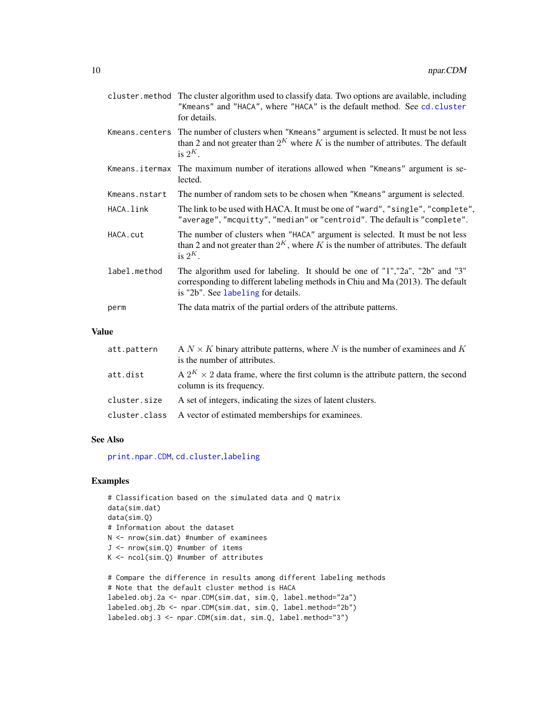<span id="page-9-0"></span>

| cluster method The cluster algorithm used to classify data. Two options are available, including |
|--------------------------------------------------------------------------------------------------|
| "Kmeans" and "HACA", where "HACA" is the default method. See cd.cluster                          |
| for details.                                                                                     |

- Kmeans.centers The number of clusters when "Kmeans" argument is selected. It must be not less than 2 and not greater than  $2^K$  where K is the number of attributes. The default is  $2^K$ .
- Kmeans.itermax The maximum number of iterations allowed when "Kmeans" argument is selected.
- Kmeans.nstart The number of random sets to be chosen when "Kmeans" argument is selected.
- HACA.link The link to be used with HACA. It must be one of "ward", "single", "complete", "average", "mcquitty", "median" or "centroid". The default is "complete".
- HACA.cut The number of clusters when "HACA" argument is selected. It must be not less than 2 and not greater than  $2^K$ , where K is the number of attributes. The default is  $2^K$ .
- label.method The algorithm used for labeling. It should be one of "1","2a", "2b" and "3" corresponding to different labeling methods in Chiu and Ma (2013). The default is "2b". See [labeling](#page-6-1) for details.
- perm The data matrix of the partial orders of the attribute patterns.

#### Value

| att.pattern  | A $N \times K$ binary attribute patterns, where N is the number of examinees and K<br>is the number of attributes.   |
|--------------|----------------------------------------------------------------------------------------------------------------------|
| att.dist     | A $2^K \times 2$ data frame, where the first column is the attribute pattern, the second<br>column is its frequency. |
| cluster.size | A set of integers, indicating the sizes of latent clusters.                                                          |
|              | cluster.class A vector of estimated memberships for examinees.                                                       |

#### See Also

[print.npar.CDM](#page-10-1), [cd.cluster](#page-3-1),[labeling](#page-6-1)

#### Examples

```
# Classification based on the simulated data and Q matrix
data(sim.dat)
data(sim.Q)
# Information about the dataset
N <- nrow(sim.dat) #number of examinees
J <- nrow(sim.Q) #number of items
K <- ncol(sim.Q) #number of attributes
```

```
# Compare the difference in results among different labeling methods
# Note that the default cluster method is HACA
labeled.obj.2a <- npar.CDM(sim.dat, sim.Q, label.method="2a")
labeled.obj.2b <- npar.CDM(sim.dat, sim.Q, label.method="2b")
labeled.obj.3 <- npar.CDM(sim.dat, sim.Q, label.method="3")
```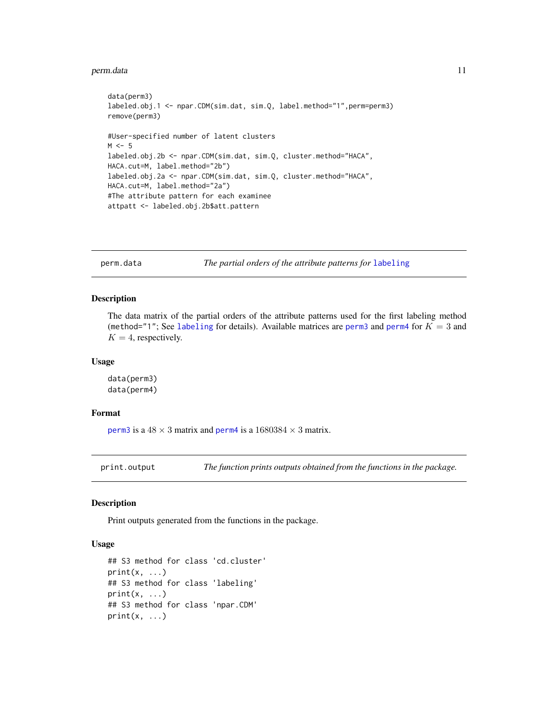#### <span id="page-10-0"></span>perm.data and 11 and 12 and 22 and 22 and 22 and 23 and 23 and 24 and 25 and 26 and 26 and 26 and 26 and 26 and 26 and 26 and 26 and 26 and 26 and 26 and 26 and 26 and 26 and 26 and 26 and 26 and 26 and 26 and 26 and 26 an

```
data(perm3)
labeled.obj.1 <- npar.CDM(sim.dat, sim.Q, label.method="1",perm=perm3)
remove(perm3)
#User-specified number of latent clusters
M < -5labeled.obj.2b <- npar.CDM(sim.dat, sim.Q, cluster.method="HACA",
HACA.cut=M, label.method="2b")
labeled.obj.2a <- npar.CDM(sim.dat, sim.Q, cluster.method="HACA",
HACA.cut=M, label.method="2a")
#The attribute pattern for each examinee
attpatt <- labeled.obj.2b$att.pattern
```
perm.data *The partial orders of the attribute patterns for* [labeling](#page-6-1)

## <span id="page-10-2"></span>Description

The data matrix of the partial orders of the attribute patterns used for the first labeling method (method="1"; See [labeling](#page-6-1) for details). Available matrices are [perm3](#page-10-2) and [perm4](#page-10-2) for  $K = 3$  and  $K = 4$ , respectively.

#### Usage

data(perm3) data(perm4)

#### Format

[perm3](#page-10-2) is a  $48 \times 3$  matrix and [perm4](#page-10-2) is a  $1680384 \times 3$  matrix.

print.output *The function prints outputs obtained from the functions in the package.*

#### <span id="page-10-1"></span>Description

Print outputs generated from the functions in the package.

#### Usage

```
## S3 method for class 'cd.cluster'
print(x, \ldots)## S3 method for class 'labeling'
print(x, \ldots)## S3 method for class 'npar.CDM'
print(x, \ldots)
```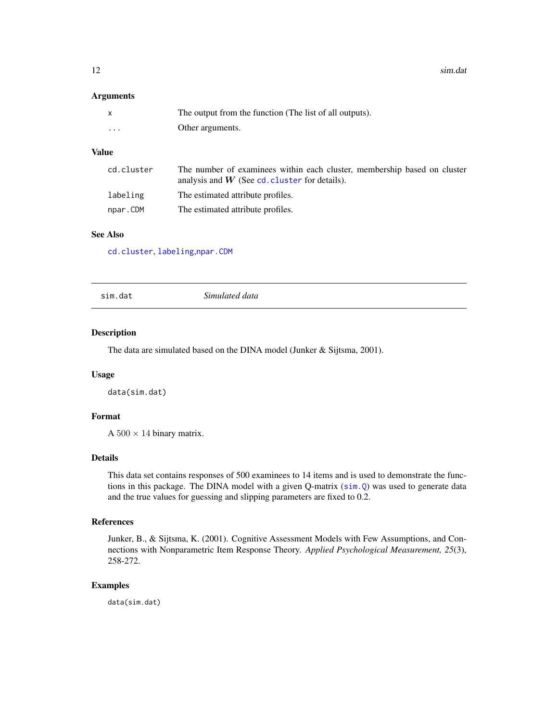<span id="page-11-0"></span>12 sim.dat

## Arguments

|   | The output from the function (The list of all outputs). |
|---|---------------------------------------------------------|
| . | Other arguments.                                        |

## Value

| cd.cluster | The number of examinees within each cluster, membership based on cluster |
|------------|--------------------------------------------------------------------------|
|            | analysis and $W$ (See cd. cluster for details).                          |
| labeling   | The estimated attribute profiles.                                        |
| npar.CDM   | The estimated attribute profiles.                                        |

## See Also

[cd.cluster](#page-3-1), [labeling](#page-6-1),[npar.CDM](#page-8-1)

<span id="page-11-1"></span>

| Simulated data<br>sim.dat |  |
|---------------------------|--|
|---------------------------|--|

## Description

The data are simulated based on the DINA model (Junker & Sijtsma, 2001).

## Usage

data(sim.dat)

## Format

A  $500 \times 14$  binary matrix.

## Details

This data set contains responses of 500 examinees to 14 items and is used to demonstrate the functions in this package. The DINA model with a given Q-matrix ([sim.Q](#page-12-1)) was used to generate data and the true values for guessing and slipping parameters are fixed to 0.2.

## References

Junker, B., & Sijtsma, K. (2001). Cognitive Assessment Models with Few Assumptions, and Connections with Nonparametric Item Response Theory. *Applied Psychological Measurement, 25*(3), 258-272.

### Examples

data(sim.dat)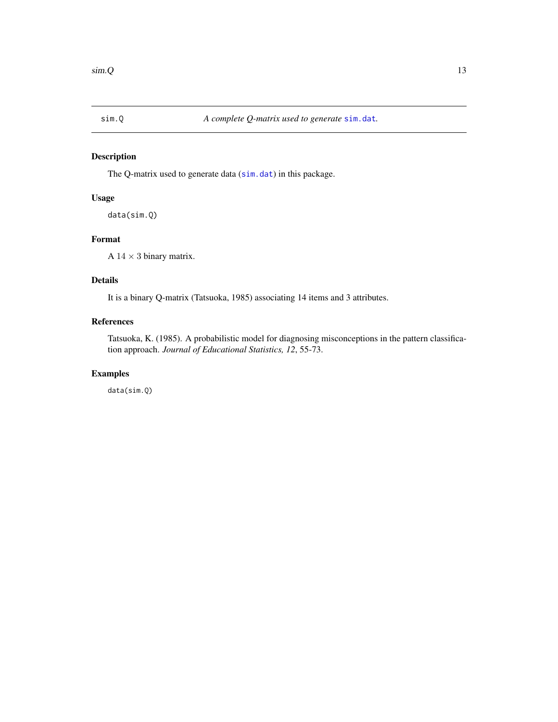<span id="page-12-1"></span><span id="page-12-0"></span>

## Description

The Q-matrix used to generate data ([sim.dat](#page-11-1)) in this package.

## Usage

data(sim.Q)

## Format

A  $14 \times 3$  binary matrix.

## Details

It is a binary Q-matrix (Tatsuoka, 1985) associating 14 items and 3 attributes.

## References

Tatsuoka, K. (1985). A probabilistic model for diagnosing misconceptions in the pattern classification approach. *Journal of Educational Statistics, 12*, 55-73.

## Examples

data(sim.Q)